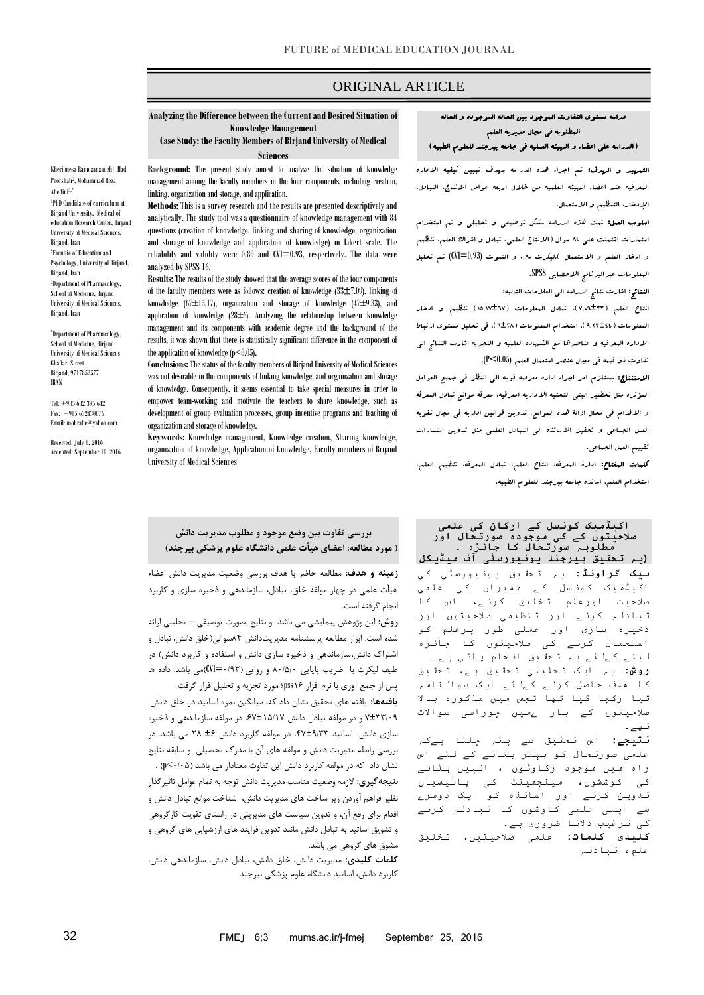# ORIGINAL ARTICLE

#### **Analyzing the Difference between the Current and Desired Situation of Knowledge Management**

**Case Study: the Faculty Members of Birjand University of Medical Sciences**

Kherionesa Ramezanzadeh<sup>1</sup>, Hadi Poorshafi<sup>2</sup> , Mohammad Reza Abedini3,\* 1 PhD Candidate of curriculum at Birjand University, Medical of education Research Center, Birjand University of Medical Sciences, Birjand, Iran 2 Facultie of Education and Psychology, University of Birjand, Birjand, Iran 3 Department of Pharmacology, School of Medicine, Birjand University of Medical Sciences, Birjand, Iran

\* Department of Pharmacology, School of Medicine, Birjand University of Medical Sciences Ghaffari Street Birjand, 9717853577 IRAN

Tel: +985 632 395 642 Fax: +985 632430076 Email: mohrabe@yahoo.com

Received: July 8, 2016 Accepted: September 10, 2016 **Background:** The present study aimed to analyze the situation of knowledge management among the faculty members in the four components, including creation, linking, organization and storage, and application.

**Methods:** This is a survey research and the results are presented descriptively and analytically. The study tool was a questionnaire of knowledge management with 84 questions (creation of knowledge, linking and sharing of knowledge, organization and storage of knowledge and application of knowledge) in Likert scale. The reliability and validity were 0.80 and CVI=0.93, respectively. The data were analyzed by SPSS 16.

**Results:**The results of the study showed that the average scores of the four components of the faculty members were as follows: creation of knowledge  $(33\pm7.09)$ , linking of knowledge (67±15.17), organization and storage of knowledge (47±9.33), and application of knowledge  $(28\pm 6)$ . Analyzing the relationship between knowledge management and its components with academic degree and the background of the results, it was shown that there is statistically significant difference in the component of the application of knowledge  $(p<0.05)$ .

**Conclusions:**The status of the faculty members of Birjand University of Medical Sciences was not desirable in the components of linking knowledge, and organization and storage of knowledge. Consequently, it seems essential to take special measures in order to empower team-working and motivate the teachers to share knowledge, such as development of group evaluation processes, group incentive programs and teaching of organization and storage of knowledge.

**Keywords:** Knowledge management, Knowledge creation, Sharing knowledge, organization of knowledge, Application of knowledge, Faculty members of Brijand University of Medical Sciences

**بررسی تفاوت بین وضع موجود و مطلوب مدیریت دانش ) مورد مطالعه: اعضای هیأت علمی دانشگاه علوم پزشکی بیرجند(**

**زمینه و هدف:** مطالعه حاضر با هدف بررسی وضعیت مدیریت دانش اعضاء **سائنسس میں انجام دی گئي تھی(** هیأت علمی در چهار مولفه خلق، تبادل، سازماندهی و ذخیره سازی و کاربرد انجام گرفته است.

**روش:** این پژوهش پیمایشی می باشد و نتایج بصورت توصیفی – تحلیلی ارائه شده است. ابزار مطالعه پرسشنامه مدیریتدانش ۴۸سوالی)خلق دانش، تبادل و اشتراک دانش،سازماندهی و ذخیره سازی دانش و استفاده و کاربرد دانش( در طیف لیکرت با ضریب پایایی ۴۸۰/۰۸ و روایی )۸۰۳۹=CVI)می باشد. داده ها پس از جمع آوری با نرم افزار 61spss مورد تجزیه و تحلیل قرار گرفت

**یافتهها:** یافته های تحقیق نشان داد که، میانگین نمره اساتید در خلق دانش 7±۹۹۰۸۳ و در مولفه تبادل دانش ،17±6/۰67 در مولفه سازماندهی و ذخیره سازی دانش اساتید ،۸7±۳۰۹۹ در مولفه کاربرد دانش ±1 8۴ می باشد. در بررسی رابطه مدیریت دانش و مولفه های آن با مدرک تحصیلی و سابقه نتایج نشان داد که در مولفه کاربرد دانش این تفاوت معنادار می باشد )۸۰۸/<p ).

**نتیجهگیری:** الزمه وضعیت مناسب مدیریت دانش توجه به تمام عوامل تاثیرگذار نظیر فراهم آوردن زیر ساخت های مدیریت دانش، شناخت موانع تبادل دانش و اقدام برای رفع آن، و تدوین سیاست های مدیریتی در راستای تقویت کارگروهی و تشویق اساتید به تبادل دانش مانند تدوین فرایند های ارزشیابی های گروهی و مشوق های گروهی می باشد.

**کلمات کلیدی:** مدیریت دانش، خلق دانش، تبادل دانش، سازماندهی دانش، کاربرد دانش، اساتید دانشگاه علوم پزشکی بیرجند

# دراسه مستوی التفاوت الموجود بین الحاله الموجوده و الحاله المطلوبه فی مجال مدیریه العلم )الدراسه علی اعضاء و الهیئه العملیه فی جامعه بیرجند للعلوم الطبیه(

**التسهید و الهدف:** تم اجراء هذه الدراسه بهدف تبیین کیفیه الاداره المعرفیه عند اعضاء الهیئه العلمیه من خالل اربعه عوامل االنتاج، التبادل، اإلدخار، التنظیم و االستعمال.

اسلوب العمل: تمت هذه الدراسه بشکل توصیفی و تحلیلی و تم استخدام استمارات اشتملت علی 48 سوال )االنتاج العلمی، تبادل و اشراک العلم، تنظیم و ادخار العلم و االستعمال (.لیکرت 0840 و الثبوت (0.93=CVI (تم تحلیل المعلومات عبرالبرنامج االحصایی SPSS.

النتائج: اشارت نتائج الدراسه الی العالمات التالیه:

ص

انتاج العلم )9807±33(، تبادل المعلومات )51859±79( تنظیم و ادخار المعلومات )7833±88(، استخدام المعلومات )7±84(. فی تحلیل مستوی ارتباط االداره المعرفیه و عناصرها مع الشهاده العلمیه و التجربه اشارت النتائج الی تفاوت ذو قیمه فی مجال عنصر استعمال العلم (0.05>P(.

االستنتاج: یستلزم امر اجراء اداره معرفیه قویه الی النظر فی جمیع العوامل المؤثره مثل تحضیر البنی التحتیه االداریه امعرفیه، معرفه موانع تبادل المعرفه و االقدام فی مجال ازالة هذه الموانع، تدوین قوانین اداریه فی مجال تقویه العمل الجماعی و تحفیز االساتذه الی التبادل العلمی مثل تدوین استمارات تقییم العمل الجماعی.

کلمات المفتاح: ادارة المعرفه، انتاج العلم، تبادل المعرفه، تنظیم العلم، استخدام العلم، اساتذه جامعه بیرجند للعلوم الطبیه.

#### **اکیڈمیک کونسل کے ارکان کی علمی صالحیتوں کے کی موجودہ صورتحال اور مطلوبہ صورتحال کا جائزہ ۔**

**بیک گراونڈ:** یہ تحقیق یونیورسٹی کی اکیڈمیک کونسل کے ممبران کی علمی صالحیت اورعلم تخلیق کرنے، اس کا تبادلہ کرنے اور تنظیمی صالحیتوں اور ذخیرہ سازی اور عملی طور پرعلم کو استعمال کرنے کی صالحیتوں کا جائزہ لینے کےلئے یہ تحقیق انجام پائي ہے۔ **روش:** یہ ایک تحلیلی تحقیق ہے، تحقیق کا ھدف حاصل کرنے کےلئے ایک سوالنامہ تیا رکیا گیا تھا تجس میں مذکورہ باال صالحیتوں کے بار ےمیں چوراسی سواالت تھے۔ **)یہ تحقیق بیرجند یونیورسٹی آف میڈیکل** 

**نتیجے:** اس تحقیق سے پتہ چلتا ہےکہ علمی صورتحال کو بہتر بنانے کے لئے اس راہ میں موجود رکاوٹوں ، انہیں ہٹانے کی کوششوں، مینجمینٹ کی پالیسیاں تدوین کرنے اور اساتذہ کو ایک دوسرے سے اپنی علمی کاوشوں کا تبادلہ کرنے کی ترغیب دالنا ضروری ہے۔

**کلیدی کلمات:** علمی صالحیتیں، تخلیق علم، تبادلہ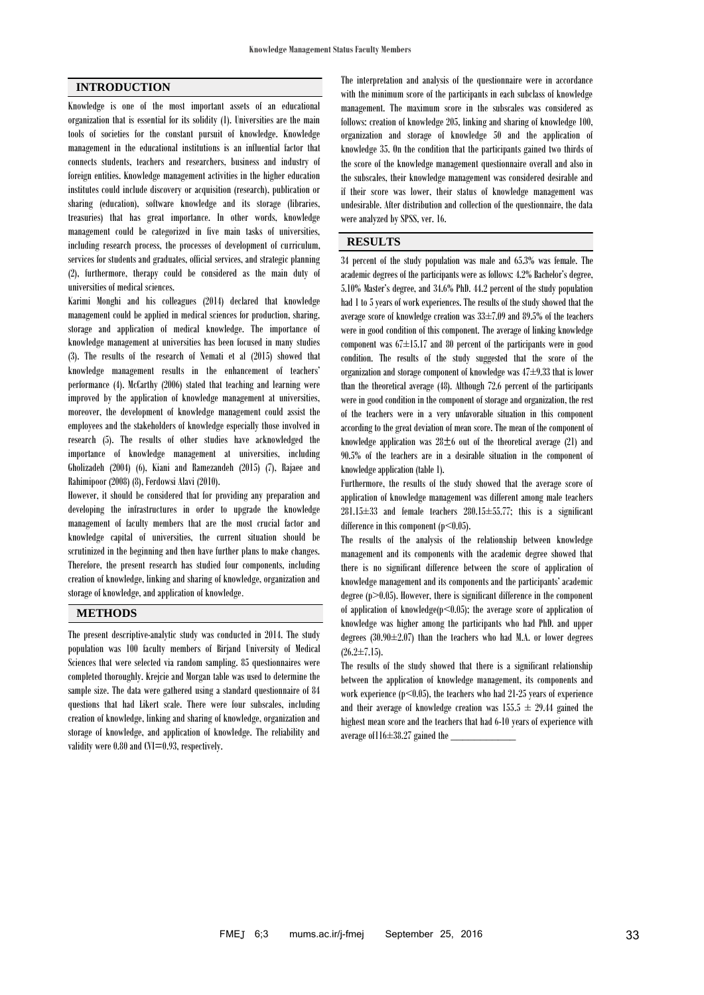### **INTRODUCTION**

Knowledge is one of the most important assets of an educational organization that is essential for its solidity (1). Universities are the main tools of societies for the constant pursuit of knowledge. Knowledge management in the educational institutions is an influential factor that connects students, teachers and researchers, business and industry of foreign entities. Knowledge management activities in the higher education institutes could include discovery or acquisition (research), publication or sharing (education), software knowledge and its storage (libraries, treasuries) that has great importance. In other words, knowledge management could be categorized in five main tasks of universities, including research process, the processes of development of curriculum, services for students and graduates, official services, and strategic planning (2), furthermore, therapy could be considered as the main duty of universities of medical sciences.

Karimi Monghi and his colleagues (2014) declared that knowledge management could be applied in medical sciences for production, sharing, storage and application of medical knowledge. The importance of knowledge management at universities has been focused in many studies (3). The results of the research of Nemati et al (2015) showed that knowledge management results in the enhancement of teachers' performance (4). McCarthy (2006) stated that teaching and learning were improved by the application of knowledge management at universities, moreover, the development of knowledge management could assist the employees and the stakeholders of knowledge especially those involved in research (5). The results of other studies have acknowledged the importance of knowledge management at universities, including Gholizadeh (2004) (6), Kiani and Ramezandeh (2015) (7), Rajaee and Rahimipoor (2008) (8), Ferdowsi Alavi (2010).

However, it should be considered that for providing any preparation and developing the infrastructures in order to upgrade the knowledge management of faculty members that are the most crucial factor and knowledge capital of universities, the current situation should be scrutinized in the beginning and then have further plans to make changes. Therefore, the present research has studied four components, including creation of knowledge, linking and sharing of knowledge, organization and storage of knowledge, and application of knowledge.

## **METHODS**

The present descriptive-analytic study was conducted in 2014. The study population was 100 faculty members of Birjand University of Medical Sciences that were selected via random sampling. 85 questionnaires were completed thoroughly. Krejcie and Morgan table was used to determine the sample size. The data were gathered using a standard questionnaire of 84 questions that had Likert scale. There were four subscales, including creation of knowledge, linking and sharing of knowledge, organization and storage of knowledge, and application of knowledge. The reliability and validity were 0.80 and CVI=0.93, respectively.

The interpretation and analysis of the questionnaire were in accordance with the minimum score of the participants in each subclass of knowledge management. The maximum score in the subscales was considered as follows: creation of knowledge 205, linking and sharing of knowledge 100, organization and storage of knowledge 50 and the application of knowledge 35. On the condition that the participants gained two thirds of the score of the knowledge management questionnaire overall and also in the subscales, their knowledge management was considered desirable and if their score was lower, their status of knowledge management was undesirable. After distribution and collection of the questionnaire, the data were analyzed by SPSS, ver. 16.

#### **RESULTS**

34 percent of the study population was male and 65.3% was female. The academic degrees of the participants were as follows: 4.2% Bachelor's degree, 5.10% Master's degree, and 34.6% PhD. 44.2 percent of the study population had 1 to 5 years of work experiences. The results of the study showed that the average score of knowledge creation was 33±7.09 and 89.5% of the teachers were in good condition of this component. The average of linking knowledge component was  $67 \pm 15.17$  and 80 percent of the participants were in good condition. The results of the study suggested that the score of the organization and storage component of knowledge was  $47\pm9.33$  that is lower than the theoretical average (48). Although 72.6 percent of the participants were in good condition in the component of storage and organization, the rest of the teachers were in a very unfavorable situation in this component according to the great deviation of mean score. The mean of the component of knowledge application was  $28\pm 6$  out of the theoretical average (21) and 90.5% of the teachers are in a desirable situation in the component of knowledge application (table 1).

Furthermore, the results of the study showed that the average score of application of knowledge management was different among male teachers  $281.15\pm33$  and female teachers  $280.15\pm55.77$ ; this is a significant difference in this component  $(p<0.05)$ .

The results of the analysis of the relationship between knowledge management and its components with the academic degree showed that there is no significant difference between the score of application of knowledge management and its components and the participants' academic degree  $(p>0.05)$ . However, there is significant difference in the component of application of knowledge( $p$ <0.05); the average score of application of knowledge was higher among the participants who had PhD. and upper degrees  $(30.90 \pm 2.07)$  than the teachers who had M.A. or lower degrees  $(26.2 \pm 7.15)$ .

The results of the study showed that there is a significant relationship between the application of knowledge management, its components and work experience  $(p<0.05)$ , the teachers who had 21-25 years of experience and their average of knowledge creation was  $155.5 \pm 29.44$  gained the highest mean score and the teachers that had 6-10 years of experience with average of  $116\pm38.27$  gained the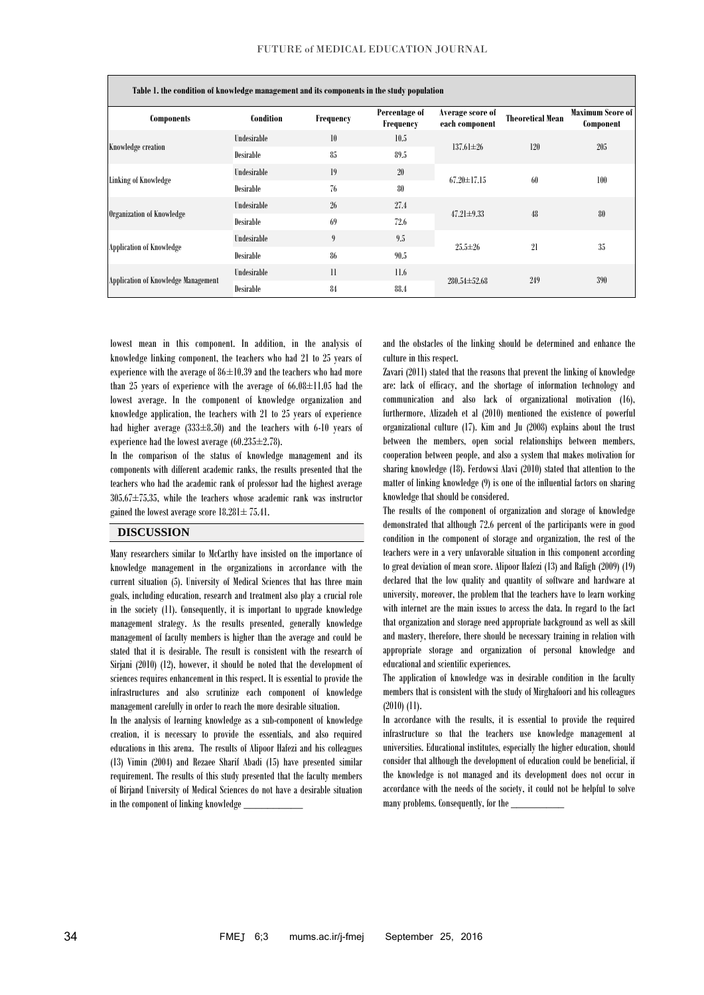| Table 1. the condition of knowledge management and its components in the study population |                  |              |                            |                                    |                         |                               |
|-------------------------------------------------------------------------------------------|------------------|--------------|----------------------------|------------------------------------|-------------------------|-------------------------------|
| Components                                                                                | <b>Condition</b> | Frequency    | Percentage of<br>Frequency | Average score of<br>each component | <b>Theoretical Mean</b> | Maximum Score of<br>Component |
| Knowledge creation                                                                        | Undesirable      | 10           | 10.5                       | $137.61 \pm 26$                    | 120                     | 205                           |
|                                                                                           | Desirable        | 85           | 89.5                       |                                    |                         |                               |
| Linking of Knowledge                                                                      | Undesirable      | 19           | 20                         | $67.20 \pm 17.15$                  | 60                      | 100                           |
|                                                                                           | Desirable        | 76           | 80                         |                                    |                         |                               |
| Organization of Knowledge                                                                 | Undesirable      | 26           | 27.4                       | $47.21 \pm 9.33$                   | 48                      | 80                            |
|                                                                                           | Desirable        | 69           | 72.6                       |                                    |                         |                               |
| <b>Application of Knowledge</b>                                                           | Undesirable      | 9            | 9.5                        | $25.5 \pm 26$                      | 21                      | 35                            |
|                                                                                           | Desirable        | 86           | 90.5                       |                                    |                         |                               |
| Application of Knowledge Management                                                       | Undesirable      | $\mathbf{1}$ | 11.6                       | $280.54 \pm 52.68$                 | 249                     | 390                           |
|                                                                                           | Desirable        | 84           | 88.4                       |                                    |                         |                               |

lowest mean in this component. In addition, in the analysis of knowledge linking component, the teachers who had 21 to 25 years of experience with the average of  $86\pm10.39$  and the teachers who had more than 25 years of experience with the average of  $66.08 \pm 11.05$  had the lowest average. In the component of knowledge organization and knowledge application, the teachers with 21 to 25 years of experience had higher average  $(333\pm8.50)$  and the teachers with 6-10 years of experience had the lowest average  $(60.235 \pm 2.78)$ .

In the comparison of the status of knowledge management and its components with different academic ranks, the results presented that the teachers who had the academic rank of professor had the highest average  $305.67 \pm 75.35$ , while the teachers whose academic rank was instructor gained the lowest average score  $18.281 \pm 75.41$ .

### **DISCUSSION**

Many researchers similar to McCarthy have insisted on the importance of knowledge management in the organizations in accordance with the current situation (5). University of Medical Sciences that has three main goals, including education, research and treatment also play a crucial role in the society (11). Consequently, it is important to upgrade knowledge management strategy. As the results presented, generally knowledge management of faculty members is higher than the average and could be stated that it is desirable. The result is consistent with the research of Sirjani (2010) (12), however, it should be noted that the development of sciences requires enhancement in this respect. It is essential to provide the infrastructures and also scrutinize each component of knowledge management carefully in order to reach the more desirable situation.

In the analysis of learning knowledge as a sub-component of knowledge creation, it is necessary to provide the essentials, and also required educations in this arena. The results of Alipoor Hafezi and his colleagues (13) Vimin (2004) and Rezaee Sharif Abadi (15) have presented similar requirement. The results of this study presented that the faculty members of Birjand University of Medical Sciences do not have a desirable situation in the component of linking knowledge

and the obstacles of the linking should be determined and enhance the culture in this respect.

Zavari (2011) stated that the reasons that prevent the linking of knowledge are: lack of efficacy, and the shortage of information technology and communication and also lack of organizational motivation (16), furthermore, Alizadeh et al (2010) mentioned the existence of powerful organizational culture (17). Kim and Ju (2008) explains about the trust between the members, open social relationships between members, cooperation between people, and also a system that makes motivation for sharing knowledge (18). Ferdowsi Alavi (2010) stated that attention to the matter of linking knowledge (9) is one of the influential factors on sharing knowledge that should be considered.

The results of the component of organization and storage of knowledge demonstrated that although 72.6 percent of the participants were in good condition in the component of storage and organization, the rest of the teachers were in a very unfavorable situation in this component according to great deviation of mean score. Alipoor Hafezi (13) and Rafigh (2009) (19) declared that the low quality and quantity of software and hardware at university, moreover, the problem that the teachers have to learn working with internet are the main issues to access the data. In regard to the fact that organization and storage need appropriate background as well as skill and mastery, therefore, there should be necessary training in relation with appropriate storage and organization of personal knowledge and educational and scientific experiences.

The application of knowledge was in desirable condition in the faculty members that is consistent with the study of Mirghafoori and his colleagues (2010) (11).

In accordance with the results, it is essential to provide the required infrastructure so that the teachers use knowledge management at universities. Educational institutes, especially the higher education, should consider that although the development of education could be beneficial, if the knowledge is not managed and its development does not occur in accordance with the needs of the society, it could not be helpful to solve many problems. Consequently, for the